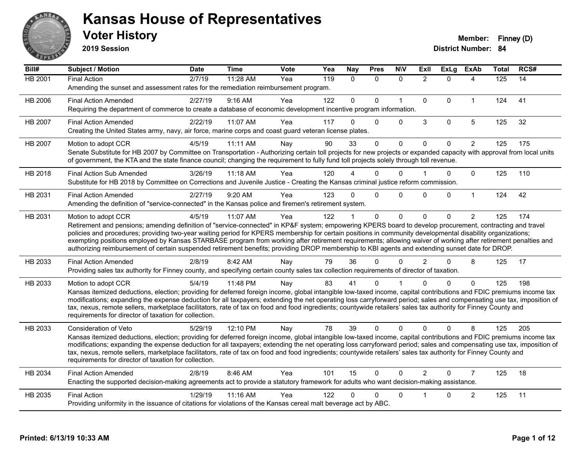

**2019 Session**

| Bill#          | Subject / Motion                                                                                                                                                                                                                                                                                                            | <b>Date</b>      | <b>Time</b> | Vote | Yea | Nay          | <b>Pres</b> | <b>NIV</b>   | ExII           | ExLg         | <b>ExAb</b>    | <b>Total</b> | RCS# |
|----------------|-----------------------------------------------------------------------------------------------------------------------------------------------------------------------------------------------------------------------------------------------------------------------------------------------------------------------------|------------------|-------------|------|-----|--------------|-------------|--------------|----------------|--------------|----------------|--------------|------|
| <b>HB 2001</b> | <b>Final Action</b>                                                                                                                                                                                                                                                                                                         | $\frac{2}{7/19}$ | 11:28 AM    | Yea  | 119 | $\Omega$     | $\Omega$    | $\mathbf{0}$ | $\overline{2}$ | $\Omega$     | 4              | 125          | 14   |
|                | Amending the sunset and assessment rates for the remediation reimbursement program.                                                                                                                                                                                                                                         |                  |             |      |     |              |             |              |                |              |                |              |      |
| HB 2006        | <b>Final Action Amended</b>                                                                                                                                                                                                                                                                                                 | 2/27/19          | 9:16 AM     | Yea  | 122 | $\mathbf{0}$ | $\Omega$    | $\mathbf{1}$ | $\mathbf{0}$   | $\Omega$     | $\mathbf{1}$   | 124          | 41   |
|                | Requiring the department of commerce to create a database of economic development incentive program information.                                                                                                                                                                                                            |                  |             |      |     |              |             |              |                |              |                |              |      |
| HB 2007        | <b>Final Action Amended</b>                                                                                                                                                                                                                                                                                                 | 2/22/19          | 11:07 AM    | Yea  | 117 | 0            | $\Omega$    | $\Omega$     | 3              | $\mathbf 0$  | 5              | 125          | 32   |
|                | Creating the United States army, navy, air force, marine corps and coast guard veteran license plates.                                                                                                                                                                                                                      |                  |             |      |     |              |             |              |                |              |                |              |      |
| HB 2007        | Motion to adopt CCR                                                                                                                                                                                                                                                                                                         | 4/5/19           | 11:11 AM    | Nay  | 90  | 33           | $\Omega$    | $\mathbf 0$  | $\mathbf{0}$   | $\mathbf{0}$ | $\overline{2}$ | 125          | 175  |
|                | Senate Substitute for HB 2007 by Committee on Transportation - Authorizing certain toll projects for new projects or expanded capacity with approval from local units                                                                                                                                                       |                  |             |      |     |              |             |              |                |              |                |              |      |
|                | of government, the KTA and the state finance council; changing the requirement to fully fund toll projects solely through toll revenue.                                                                                                                                                                                     |                  |             |      |     |              |             |              |                |              |                |              |      |
| HB 2018        | <b>Final Action Sub Amended</b>                                                                                                                                                                                                                                                                                             | 3/26/19          | $11:18$ AM  | Yea  | 120 |              | 0           | $\Omega$     |                | $\Omega$     | $\mathbf{0}$   | 125          | 110  |
|                | Substitute for HB 2018 by Committee on Corrections and Juvenile Justice - Creating the Kansas criminal justice reform commission.                                                                                                                                                                                           |                  |             |      |     |              |             |              |                |              |                |              |      |
| HB 2031        | <b>Final Action Amended</b>                                                                                                                                                                                                                                                                                                 | 2/27/19          | 9:20 AM     | Yea  | 123 | 0            | $\Omega$    | $\Omega$     | $\Omega$       | $\Omega$     | $\mathbf{1}$   | 124          | 42   |
|                | Amending the definition of "service-connected" in the Kansas police and firemen's retirement system.                                                                                                                                                                                                                        |                  |             |      |     |              |             |              |                |              |                |              |      |
| HB 2031        | Motion to adopt CCR                                                                                                                                                                                                                                                                                                         | 4/5/19           | 11:07 AM    | Yea  | 122 |              | $\Omega$    | $\mathbf{0}$ | $\Omega$       | $\Omega$     | $\overline{2}$ | 125          | 174  |
|                | Retirement and pensions; amending definition of "service-connected" in KP&F system; empowering KPERS board to develop procurement, contracting and travel                                                                                                                                                                   |                  |             |      |     |              |             |              |                |              |                |              |      |
|                | policies and procedures; providing two-year waiting period for KPERS membership for certain positions in community developmental disability organizations;<br>exempting positions employed by Kansas STARBASE program from working after retirement requirements; allowing waiver of working after retirement penalties and |                  |             |      |     |              |             |              |                |              |                |              |      |
|                | authorizing reimbursement of certain suspended retirement benefits; providing DROP membership to KBI agents and extending sunset date for DROP.                                                                                                                                                                             |                  |             |      |     |              |             |              |                |              |                |              |      |
| HB 2033        | <b>Final Action Amended</b>                                                                                                                                                                                                                                                                                                 | 2/8/19           | 8:42 AM     | Nay  | 79  | 36           | 0           | $\Omega$     | $\mathcal{P}$  | $\Omega$     | 8              | 125          | 17   |
|                | Providing sales tax authority for Finney county, and specifying certain county sales tax collection requirements of director of taxation.                                                                                                                                                                                   |                  |             |      |     |              |             |              |                |              |                |              |      |
| HB 2033        | Motion to adopt CCR                                                                                                                                                                                                                                                                                                         | 5/4/19           | 11:48 PM    | Nay  | 83  | 41           | 0           |              |                | $\Omega$     | $\Omega$       | 125          | 198  |
|                | Kansas itemized deductions, election; providing for deferred foreign income, global intangible low-taxed income, capital contributions and FDIC premiums income tax                                                                                                                                                         |                  |             |      |     |              |             |              |                |              |                |              |      |
|                | modifications; expanding the expense deduction for all taxpayers; extending the net operating loss carryforward period; sales and compensating use tax, imposition of                                                                                                                                                       |                  |             |      |     |              |             |              |                |              |                |              |      |
|                | tax, nexus, remote sellers, marketplace facilitators, rate of tax on food and food ingredients; countywide retailers' sales tax authority for Finney County and<br>requirements for director of taxation for collection.                                                                                                    |                  |             |      |     |              |             |              |                |              |                |              |      |
| HB 2033        |                                                                                                                                                                                                                                                                                                                             | 5/29/19          | 12:10 PM    |      | 78  | 39           | $\Omega$    | $\mathbf{0}$ | $\mathbf{0}$   | $\Omega$     | 8              | 125          | 205  |
|                | Consideration of Veto<br>Kansas itemized deductions, election; providing for deferred foreign income, global intangible low-taxed income, capital contributions and FDIC premiums income tax                                                                                                                                |                  |             | Nay  |     |              |             |              |                |              |                |              |      |
|                | modifications; expanding the expense deduction for all taxpayers; extending the net operating loss carryforward period; sales and compensating use tax, imposition of                                                                                                                                                       |                  |             |      |     |              |             |              |                |              |                |              |      |
|                | tax, nexus, remote sellers, marketplace facilitators, rate of tax on food and food ingredients; countywide retailers' sales tax authority for Finney County and                                                                                                                                                             |                  |             |      |     |              |             |              |                |              |                |              |      |
|                | requirements for director of taxation for collection.                                                                                                                                                                                                                                                                       |                  |             |      |     |              |             |              |                |              |                |              |      |
| HB 2034        | <b>Final Action Amended</b>                                                                                                                                                                                                                                                                                                 | 2/8/19           | 8:46 AM     | Yea  | 101 | 15           | $\Omega$    | $\Omega$     | $\overline{2}$ | $\Omega$     | $\overline{7}$ | 125          | 18   |
|                | Enacting the supported decision-making agreements act to provide a statutory framework for adults who want decision-making assistance.                                                                                                                                                                                      |                  |             |      |     |              |             |              |                |              |                |              |      |
| HB 2035        | <b>Final Action</b>                                                                                                                                                                                                                                                                                                         | 1/29/19          | 11:16 AM    | Yea  | 122 | 0            | 0           | $\mathbf 0$  |                | 0            | $\overline{c}$ | 125          | 11   |
|                | Providing uniformity in the issuance of citations for violations of the Kansas cereal malt beverage act by ABC.                                                                                                                                                                                                             |                  |             |      |     |              |             |              |                |              |                |              |      |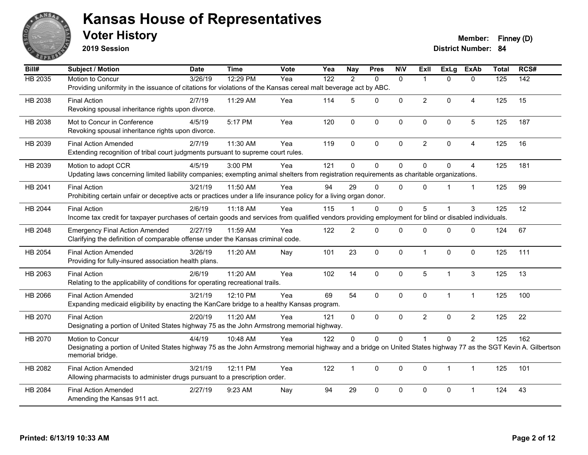

**2019 Session**

**Voter History Member: Finney (D)** 

| Bill#   | Subject / Motion                                                                                                                                                 | <b>Date</b> | <b>Time</b> | Vote | Yea | <b>Nay</b>     | <b>Pres</b>  | <b>NIV</b>   | <b>ExII</b>    | <b>ExLg</b>  | <b>ExAb</b>    | <b>Total</b>     | RCS#             |
|---------|------------------------------------------------------------------------------------------------------------------------------------------------------------------|-------------|-------------|------|-----|----------------|--------------|--------------|----------------|--------------|----------------|------------------|------------------|
| HB 2035 | Motion to Concur                                                                                                                                                 | 3/26/19     | 12:29 PM    | Yea  | 122 | $\mathfrak{p}$ | $\Omega$     | $\mathbf{0}$ | 1              | $\Omega$     | $\Omega$       | $\overline{125}$ | $\overline{142}$ |
|         | Providing uniformity in the issuance of citations for violations of the Kansas cereal malt beverage act by ABC.                                                  |             |             |      |     |                |              |              |                |              |                |                  |                  |
| HB 2038 | <b>Final Action</b>                                                                                                                                              | 2/7/19      | 11:29 AM    | Yea  | 114 | 5              | $\Omega$     | $\Omega$     | $\overline{2}$ | $\Omega$     | $\overline{4}$ | 125              | 15               |
|         | Revoking spousal inheritance rights upon divorce.                                                                                                                |             |             |      |     |                |              |              |                |              |                |                  |                  |
| HB 2038 | Mot to Concur in Conference                                                                                                                                      | 4/5/19      | 5:17 PM     | Yea  | 120 | $\mathbf 0$    | $\mathbf 0$  | $\mathbf 0$  | $\mathbf 0$    | $\mathbf 0$  | $\overline{5}$ | 125              | 187              |
|         | Revoking spousal inheritance rights upon divorce.                                                                                                                |             |             |      |     |                |              |              |                |              |                |                  |                  |
| HB 2039 | <b>Final Action Amended</b>                                                                                                                                      | 2/7/19      | 11:30 AM    | Yea  | 119 | $\mathbf{0}$   | $\Omega$     | $\Omega$     | $\overline{2}$ | $\Omega$     | $\overline{4}$ | 125              | 16               |
|         | Extending recognition of tribal court judgments pursuant to supreme court rules.                                                                                 |             |             |      |     |                |              |              |                |              |                |                  |                  |
| HB 2039 | Motion to adopt CCR                                                                                                                                              | 4/5/19      | 3:00 PM     | Yea  | 121 | $\mathbf{0}$   | $\mathbf 0$  | $\mathbf 0$  | $\Omega$       | $\Omega$     | $\overline{4}$ | 125              | 181              |
|         | Updating laws concerning limited liability companies; exempting animal shelters from registration requirements as charitable organizations.                      |             |             |      |     |                |              |              |                |              |                |                  |                  |
| HB 2041 | <b>Final Action</b>                                                                                                                                              | 3/21/19     | 11:50 AM    | Yea  | 94  | 29             | $\mathbf 0$  | $\mathbf{0}$ | $\Omega$       | 1            | $\overline{1}$ | 125              | 99               |
|         | Prohibiting certain unfair or deceptive acts or practices under a life insurance policy for a living organ donor.                                                |             |             |      |     |                |              |              |                |              |                |                  |                  |
| HB 2044 | <b>Final Action</b>                                                                                                                                              | 2/6/19      | 11:18 AM    | Yea  | 115 |                | $\mathbf{0}$ | $\mathbf{0}$ | 5              |              | 3              | 125              | 12               |
|         | Income tax credit for taxpayer purchases of certain goods and services from qualified vendors providing employment for blind or disabled individuals.            |             |             |      |     |                |              |              |                |              |                |                  |                  |
| HB 2048 | <b>Emergency Final Action Amended</b>                                                                                                                            | 2/27/19     | 11:59 AM    | Yea  | 122 | $\overline{2}$ | $\mathbf 0$  | $\mathbf 0$  | $\Omega$       | $\Omega$     | $\mathbf 0$    | 124              | 67               |
|         | Clarifying the definition of comparable offense under the Kansas criminal code.                                                                                  |             |             |      |     |                |              |              |                |              |                |                  |                  |
| HB 2054 | <b>Final Action Amended</b>                                                                                                                                      | 3/26/19     | 11:20 AM    | Nay  | 101 | 23             | $\mathbf 0$  | $\Omega$     | $\mathbf 1$    | $\Omega$     | $\mathbf{0}$   | 125              | 111              |
|         | Providing for fully-insured association health plans.                                                                                                            |             |             |      |     |                |              |              |                |              |                |                  |                  |
| HB 2063 | <b>Final Action</b>                                                                                                                                              | 2/6/19      | 11:20 AM    | Yea  | 102 | 14             | $\mathbf 0$  | $\mathbf 0$  | 5              | $\mathbf{1}$ | $\mathbf{3}$   | 125              | 13               |
|         | Relating to the applicability of conditions for operating recreational trails.                                                                                   |             |             |      |     |                |              |              |                |              |                |                  |                  |
| HB 2066 | <b>Final Action Amended</b>                                                                                                                                      | 3/21/19     | 12:10 PM    | Yea  | 69  | 54             | 0            | $\mathbf 0$  | $\mathbf 0$    | $\mathbf{1}$ | $\mathbf{1}$   | 125              | 100              |
|         | Expanding medicaid eligibility by enacting the KanCare bridge to a healthy Kansas program.                                                                       |             |             |      |     |                |              |              |                |              |                |                  |                  |
| HB 2070 | <b>Final Action</b>                                                                                                                                              | 2/20/19     | $11:20$ AM  | Yea  | 121 | $\mathbf{0}$   | $\Omega$     | $\Omega$     | $\overline{2}$ | $\Omega$     | $\overline{2}$ | 125              | 22               |
|         | Designating a portion of United States highway 75 as the John Armstrong memorial highway.                                                                        |             |             |      |     |                |              |              |                |              |                |                  |                  |
| HB 2070 | Motion to Concur                                                                                                                                                 | 4/4/19      | 10:48 AM    | Yea  | 122 | $\Omega$       | $\mathbf 0$  | $\mathbf 0$  |                | 0            | $\overline{2}$ | 125              | 162              |
|         | Designating a portion of United States highway 75 as the John Armstrong memorial highway and a bridge on United States highway 77 as the SGT Kevin A. Gilbertson |             |             |      |     |                |              |              |                |              |                |                  |                  |
|         | memorial bridge.                                                                                                                                                 |             |             |      |     |                |              |              |                |              |                |                  |                  |
| HB 2082 | <b>Final Action Amended</b>                                                                                                                                      | 3/21/19     | 12:11 PM    | Yea  | 122 | $\mathbf{1}$   | $\mathbf 0$  | $\Omega$     | $\mathbf{0}$   | $\mathbf 1$  | $\mathbf{1}$   | 125              | 101              |
|         | Allowing pharmacists to administer drugs pursuant to a prescription order.                                                                                       |             |             |      |     |                |              |              |                |              |                |                  |                  |
| HB 2084 | <b>Final Action Amended</b>                                                                                                                                      | 2/27/19     | 9:23 AM     | Nay  | 94  | 29             | 0            | $\mathbf 0$  | 0              | 0            | 1              | 124              | 43               |
|         | Amending the Kansas 911 act.                                                                                                                                     |             |             |      |     |                |              |              |                |              |                |                  |                  |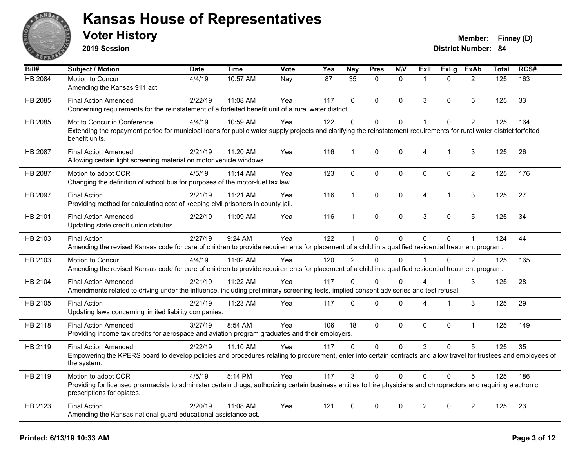

**2019 Session**

| Bill#          | Subject / Motion                                                                                                                                                                                  | <b>Date</b> | <b>Time</b> | <b>Vote</b> | Yea | <b>Nay</b>      | <b>Pres</b>  | <b>N\V</b>   | ExII                 | <b>ExLg</b> | <b>ExAb</b>    | <b>Total</b> | RCS# |
|----------------|---------------------------------------------------------------------------------------------------------------------------------------------------------------------------------------------------|-------------|-------------|-------------|-----|-----------------|--------------|--------------|----------------------|-------------|----------------|--------------|------|
| <b>HB 2084</b> | Motion to Concur                                                                                                                                                                                  | 4/4/19      | 10:57 AM    | Nay         | 87  | $\overline{35}$ | $\Omega$     | $\mathbf{0}$ | $\overline{1}$       | $\Omega$    | $\overline{2}$ | 125          | 163  |
|                | Amending the Kansas 911 act.                                                                                                                                                                      |             |             |             |     |                 |              |              |                      |             |                |              |      |
| HB 2085        | <b>Final Action Amended</b>                                                                                                                                                                       | 2/22/19     | 11:08 AM    | Yea         | 117 | $\Omega$        | $\Omega$     | $\mathbf{0}$ | 3                    | $\Omega$    | 5              | 125          | 33   |
|                | Concerning requirements for the reinstatement of a forfeited benefit unit of a rural water district.                                                                                              |             |             |             |     |                 |              |              |                      |             |                |              |      |
| HB 2085        | Mot to Concur in Conference                                                                                                                                                                       | 4/4/19      | 10:59 AM    | Yea         | 122 | $\Omega$        | $\Omega$     | $\pmb{0}$    | $\blacktriangleleft$ | $\Omega$    | $\overline{2}$ | 125          | 164  |
|                | Extending the repayment period for municipal loans for public water supply projects and clarifying the reinstatement requirements for rural water district forfeited<br>benefit units.            |             |             |             |     |                 |              |              |                      |             |                |              |      |
| HB 2087        | <b>Final Action Amended</b>                                                                                                                                                                       | 2/21/19     | 11:20 AM    | Yea         | 116 | $\mathbf{1}$    | 0            | $\pmb{0}$    | 4                    | $\mathbf 1$ | 3              | 125          | 26   |
|                | Allowing certain light screening material on motor vehicle windows.                                                                                                                               |             |             |             |     |                 |              |              |                      |             |                |              |      |
| HB 2087        | Motion to adopt CCR                                                                                                                                                                               | 4/5/19      | 11:14 AM    | Yea         | 123 | $\mathbf 0$     | $\mathbf 0$  | $\mathbf 0$  | $\mathbf{0}$         | 0           | $\overline{2}$ | 125          | 176  |
|                | Changing the definition of school bus for purposes of the motor-fuel tax law.                                                                                                                     |             |             |             |     |                 |              |              |                      |             |                |              |      |
| HB 2097        | <b>Final Action</b>                                                                                                                                                                               | 2/21/19     | 11:21 AM    | Yea         | 116 | $\mathbf 1$     | $\mathbf{0}$ | $\mathbf 0$  | $\overline{4}$       | 1           | 3              | 125          | 27   |
|                | Providing method for calculating cost of keeping civil prisoners in county jail.                                                                                                                  |             |             |             |     |                 |              |              |                      |             |                |              |      |
| HB 2101        | <b>Final Action Amended</b>                                                                                                                                                                       | 2/22/19     | 11:09 AM    | Yea         | 116 | $\mathbf{1}$    | $\Omega$     | $\mathbf 0$  | 3                    | $\Omega$    | 5              | 125          | 34   |
|                | Updating state credit union statutes.                                                                                                                                                             |             |             |             |     |                 |              |              |                      |             |                |              |      |
| HB 2103        | <b>Final Action</b>                                                                                                                                                                               | 2/27/19     | 9:24 AM     | Yea         | 122 |                 | 0            | $\mathbf 0$  | $\mathbf{0}$         | $\Omega$    | 1              | 124          | 44   |
|                | Amending the revised Kansas code for care of children to provide requirements for placement of a child in a qualified residential treatment program.                                              |             |             |             |     |                 |              |              |                      |             |                |              |      |
| HB 2103        | Motion to Concur                                                                                                                                                                                  | 4/4/19      | 11:02 AM    | Yea         | 120 | $\overline{2}$  | $\Omega$     | $\Omega$     | $\overline{1}$       | $\Omega$    | $\overline{2}$ | 125          | 165  |
|                | Amending the revised Kansas code for care of children to provide requirements for placement of a child in a qualified residential treatment program.                                              |             |             |             |     |                 |              |              |                      |             |                |              |      |
| HB 2104        | <b>Final Action Amended</b>                                                                                                                                                                       | 2/21/19     | 11:22 AM    | Yea         | 117 | $\Omega$        | $\Omega$     | $\Omega$     | 4                    |             | 3              | 125          | 28   |
|                | Amendments related to driving under the influence, including preliminary screening tests, implied consent advisories and test refusal.                                                            |             |             |             |     |                 |              |              |                      |             |                |              |      |
| HB 2105        | <b>Final Action</b>                                                                                                                                                                               | 2/21/19     | 11:23 AM    | Yea         | 117 | $\Omega$        | $\Omega$     | $\mathbf 0$  | 4                    | 1           | 3              | 125          | 29   |
|                | Updating laws concerning limited liability companies.                                                                                                                                             |             |             |             |     |                 |              |              |                      |             |                |              |      |
| HB 2118        | <b>Final Action Amended</b>                                                                                                                                                                       | 3/27/19     | 8:54 AM     | Yea         | 106 | 18              | $\mathbf{0}$ | $\mathbf 0$  | $\mathbf{0}$         | $\Omega$    | $\mathbf{1}$   | 125          | 149  |
|                | Providing income tax credits for aerospace and aviation program graduates and their employers.                                                                                                    |             |             |             |     |                 |              |              |                      |             |                |              |      |
| HB 2119        | <b>Final Action Amended</b>                                                                                                                                                                       | 2/22/19     | $11:10$ AM  | Yea         | 117 | $\Omega$        | $\Omega$     | $\mathbf{0}$ | 3                    | $\Omega$    | 5              | 125          | 35   |
|                | Empowering the KPERS board to develop policies and procedures relating to procurement, enter into certain contracts and allow travel for trustees and employees of<br>the system.                 |             |             |             |     |                 |              |              |                      |             |                |              |      |
| HB 2119        | Motion to adopt CCR                                                                                                                                                                               | 4/5/19      | 5:14 PM     | Yea         | 117 | 3               | 0            | $\mathbf{0}$ | $\Omega$             | $\Omega$    | 5              | 125          | 186  |
|                | Providing for licensed pharmacists to administer certain drugs, authorizing certain business entities to hire physicians and chiropractors and requiring electronic<br>prescriptions for opiates. |             |             |             |     |                 |              |              |                      |             |                |              |      |
| HB 2123        | <b>Final Action</b>                                                                                                                                                                               | 2/20/19     | 11:08 AM    | Yea         | 121 | $\mathbf 0$     | 0            | $\mathbf 0$  | $\overline{2}$       | $\mathbf 0$ | $\overline{2}$ | 125          | 23   |
|                | Amending the Kansas national guard educational assistance act.                                                                                                                                    |             |             |             |     |                 |              |              |                      |             |                |              |      |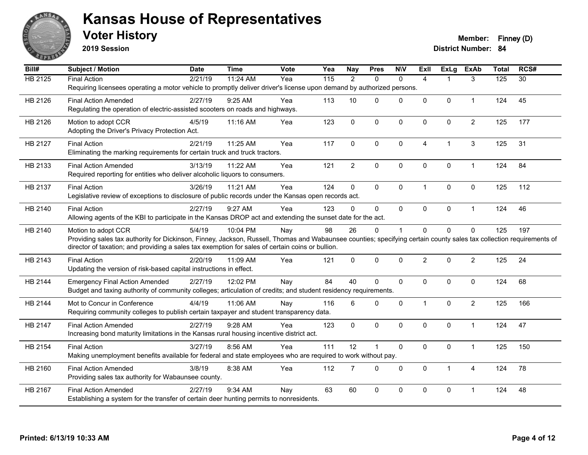

**2019 Session**

| Bill#          | <b>Subject / Motion</b>                                                                                                                                              | <b>Date</b> | <b>Time</b> | <b>Vote</b> | Yea | <b>Nay</b>     | <b>Pres</b>    | <b>NIV</b>   | <b>Exll</b>    | <b>ExLg</b>    | <b>ExAb</b>    | <b>Total</b> | RCS#            |
|----------------|----------------------------------------------------------------------------------------------------------------------------------------------------------------------|-------------|-------------|-------------|-----|----------------|----------------|--------------|----------------|----------------|----------------|--------------|-----------------|
| <b>HB 2125</b> | <b>Final Action</b>                                                                                                                                                  | 2/21/19     | 11:24 AM    | Yea         | 115 | $\overline{2}$ | $\mathbf{0}$   | $\mathbf{0}$ | $\overline{4}$ |                | 3              | 125          | $\overline{30}$ |
|                | Requiring licensees operating a motor vehicle to promptly deliver driver's license upon demand by authorized persons.                                                |             |             |             |     |                |                |              |                |                |                |              |                 |
| HB 2126        | <b>Final Action Amended</b>                                                                                                                                          | 2/27/19     | 9:25 AM     | Yea         | 113 | 10             | $\mathbf{0}$   | $\mathbf 0$  | 0              | $\mathbf 0$    | $\mathbf 1$    | 124          | 45              |
|                | Regulating the operation of electric-assisted scooters on roads and highways.                                                                                        |             |             |             |     |                |                |              |                |                |                |              |                 |
| HB 2126        | Motion to adopt CCR                                                                                                                                                  | 4/5/19      | 11:16 AM    | Yea         | 123 | $\mathbf 0$    | $\mathbf{0}$   | 0            | $\Omega$       | $\mathbf 0$    | $\overline{c}$ | 125          | 177             |
|                | Adopting the Driver's Privacy Protection Act.                                                                                                                        |             |             |             |     |                |                |              |                |                |                |              |                 |
| HB 2127        | <b>Final Action</b>                                                                                                                                                  | 2/21/19     | 11:25 AM    | Yea         | 117 | 0              | $\mathbf{0}$   | 0            | 4              | $\overline{1}$ | 3              | 125          | 31              |
|                | Eliminating the marking requirements for certain truck and truck tractors.                                                                                           |             |             |             |     |                |                |              |                |                |                |              |                 |
| HB 2133        | <b>Final Action Amended</b>                                                                                                                                          | 3/13/19     | 11:22 AM    | Yea         | 121 | $\overline{2}$ | $\pmb{0}$      | $\pmb{0}$    | $\mathbf 0$    | $\pmb{0}$      | $\mathbf{1}$   | 124          | 84              |
|                | Required reporting for entities who deliver alcoholic liquors to consumers.                                                                                          |             |             |             |     |                |                |              |                |                |                |              |                 |
| HB 2137        | <b>Final Action</b>                                                                                                                                                  | 3/26/19     | 11:21 AM    | Yea         | 124 | $\Omega$       | $\Omega$       | $\mathbf 0$  | 1              | $\mathbf{0}$   | $\mathbf{0}$   | 125          | 112             |
|                | Legislative review of exceptions to disclosure of public records under the Kansas open records act.                                                                  |             |             |             |     |                |                |              |                |                |                |              |                 |
| HB 2140        | <b>Final Action</b>                                                                                                                                                  | 2/27/19     | 9:27 AM     | Yea         | 123 | $\Omega$       | $\mathbf{0}$   | $\mathbf{0}$ | 0              | $\mathbf 0$    | $\mathbf{1}$   | 124          | 46              |
|                | Allowing agents of the KBI to participate in the Kansas DROP act and extending the sunset date for the act.                                                          |             |             |             |     |                |                |              |                |                |                |              |                 |
| HB 2140        | Motion to adopt CCR                                                                                                                                                  | 5/4/19      | 10:04 PM    | Nay         | 98  | 26             | $\mathbf 0$    | $\mathbf{1}$ | $\Omega$       | $\mathbf 0$    | $\mathbf 0$    | 125          | 197             |
|                | Providing sales tax authority for Dickinson, Finney, Jackson, Russell, Thomas and Wabaunsee counties; specifying certain county sales tax collection requirements of |             |             |             |     |                |                |              |                |                |                |              |                 |
|                | director of taxation; and providing a sales tax exemption for sales of certain coins or bullion.                                                                     |             |             |             |     |                |                |              |                |                |                |              |                 |
| HB 2143        | <b>Final Action</b>                                                                                                                                                  | 2/20/19     | 11:09 AM    | Yea         | 121 | $\mathbf{0}$   | $\mathbf{0}$   | $\mathbf{0}$ | $\overline{2}$ | $\Omega$       | $\overline{2}$ | 125          | 24              |
|                | Updating the version of risk-based capital instructions in effect.                                                                                                   |             |             |             |     |                |                |              |                |                |                |              |                 |
| HB 2144        | <b>Emergency Final Action Amended</b>                                                                                                                                | 2/27/19     | 12:02 PM    | Nay         | 84  | 40             | $\mathbf 0$    | $\mathbf 0$  | $\Omega$       | $\mathbf 0$    | $\mathbf 0$    | 124          | 68              |
|                | Budget and taxing authority of community colleges; articulation of credits; and student residency requirements.                                                      |             |             |             |     |                |                |              |                |                |                |              |                 |
| HB 2144        | Mot to Concur in Conference                                                                                                                                          | 4/4/19      | 11:06 AM    | Nay         | 116 | 6              | $\mathbf 0$    | $\mathbf 0$  | 1              | $\mathbf 0$    | $\overline{2}$ | 125          | 166             |
|                | Requiring community colleges to publish certain taxpayer and student transparency data.                                                                              |             |             |             |     |                |                |              |                |                |                |              |                 |
| HB 2147        | <b>Final Action Amended</b>                                                                                                                                          | 2/27/19     | 9:28 AM     | Yea         | 123 | $\Omega$       | $\mathbf{0}$   | $\mathbf{0}$ | $\Omega$       | $\Omega$       | $\mathbf{1}$   | 124          | 47              |
|                | Increasing bond maturity limitations in the Kansas rural housing incentive district act.                                                                             |             |             |             |     |                |                |              |                |                |                |              |                 |
| HB 2154        | <b>Final Action</b>                                                                                                                                                  | 3/27/19     | 8:56 AM     | Yea         | 111 | 12             | $\overline{1}$ | $\mathbf 0$  | 0              | $\mathbf 0$    | $\mathbf{1}$   | 125          | 150             |
|                | Making unemployment benefits available for federal and state employees who are required to work without pay.                                                         |             |             |             |     |                |                |              |                |                |                |              |                 |
| HB 2160        | <b>Final Action Amended</b>                                                                                                                                          | 3/8/19      | 8:38 AM     | Yea         | 112 | $\overline{7}$ | $\mathbf 0$    | $\mathbf 0$  | $\Omega$       | $\mathbf{1}$   | 4              | 124          | 78              |
|                | Providing sales tax authority for Wabaunsee county.                                                                                                                  |             |             |             |     |                |                |              |                |                |                |              |                 |
| HB 2167        | <b>Final Action Amended</b>                                                                                                                                          | 2/27/19     | 9:34 AM     | Nav         | 63  | 60             | $\mathbf{0}$   | $\Omega$     | $\Omega$       | $\mathbf 0$    | 1              | 124          | 48              |
|                | Establishing a system for the transfer of certain deer hunting permits to nonresidents.                                                                              |             |             |             |     |                |                |              |                |                |                |              |                 |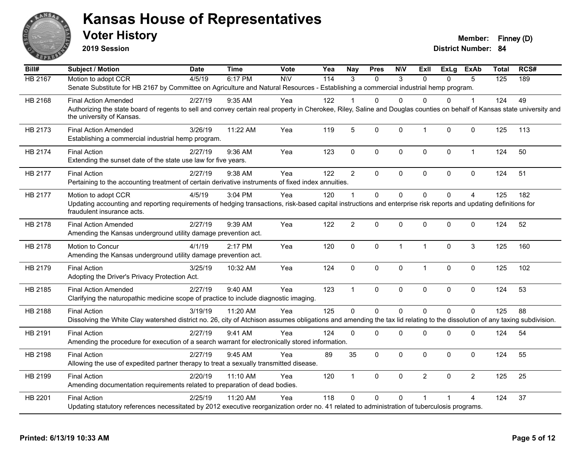

**2019 Session**

| N/V<br>6:17 PM<br>114<br>3<br>$\Omega$<br>3<br>$\Omega$<br><b>HB 2167</b><br>Motion to adopt CCR<br>4/5/19<br>$\Omega$<br>5<br>125<br>189<br>Senate Substitute for HB 2167 by Committee on Agriculture and Natural Resources - Establishing a commercial industrial hemp program.<br>49<br>124<br>HB 2168<br><b>Final Action Amended</b><br>2/27/19<br>9:35 AM<br>Yea<br>122<br>$\Omega$<br>$\Omega$<br>1<br>0<br>U<br>Authorizing the state board of regents to sell and convey certain real property in Cherokee, Riley, Saline and Douglas counties on behalf of Kansas state university and<br>the university of Kansas.<br>5<br>3/26/19<br>11:22 AM<br>119<br>$\mathbf 0$<br>0<br>0<br>$\mathbf 0$<br>125<br>113<br>HB 2173<br><b>Final Action Amended</b><br>Yea<br>$\overline{1}$<br>Establishing a commercial industrial hemp program.<br>$\pmb{0}$<br>0<br>124<br>50<br>HB 2174<br>2/27/19<br>9:36 AM<br>Yea<br>123<br>0<br>0<br>$\mathbf 0$<br>$\mathbf{1}$<br><b>Final Action</b><br>Extending the sunset date of the state use law for five years.<br>$\overline{2}$<br><b>Final Action</b><br>122<br>$\mathbf 0$<br>124<br>51<br>HB 2177<br>2/27/19<br>9:38 AM<br>Yea<br>$\Omega$<br>$\Omega$<br>$\Omega$<br>$\mathbf{0}$<br>Pertaining to the accounting treatment of certain derivative instruments of fixed index annuities.<br>$\Omega$<br>$\mathbf 0$<br>$\Omega$<br>$\Omega$<br>$\overline{4}$<br>4/5/19<br>3:04 PM<br>120<br>125<br>182<br>HB 2177<br>Motion to adopt CCR<br>Yea<br>$\blacktriangleleft$<br>Updating accounting and reporting requirements of hedging transactions, risk-based capital instructions and enterprise risk reports and updating definitions for<br>fraudulent insurance acts.<br>$\overline{2}$<br>2/27/19<br>9:39 AM<br>Yea<br>122<br>$\mathbf{0}$<br>0<br>$\Omega$<br>0<br>0<br>124<br>52<br>HB 2178<br><b>Final Action Amended</b><br>Amending the Kansas underground utility damage prevention act.<br>Motion to Concur<br>Yea<br>$\mathbf 0$<br>0<br>$\mathbf{1}$<br>0<br>$\sqrt{3}$<br>125<br>160<br>HB 2178<br>4/1/19<br>2:17 PM<br>120<br>$\overline{1}$ | RCS# |
|-------------------------------------------------------------------------------------------------------------------------------------------------------------------------------------------------------------------------------------------------------------------------------------------------------------------------------------------------------------------------------------------------------------------------------------------------------------------------------------------------------------------------------------------------------------------------------------------------------------------------------------------------------------------------------------------------------------------------------------------------------------------------------------------------------------------------------------------------------------------------------------------------------------------------------------------------------------------------------------------------------------------------------------------------------------------------------------------------------------------------------------------------------------------------------------------------------------------------------------------------------------------------------------------------------------------------------------------------------------------------------------------------------------------------------------------------------------------------------------------------------------------------------------------------------------------------------------------------------------------------------------------------------------------------------------------------------------------------------------------------------------------------------------------------------------------------------------------------------------------------------------------------------------------------------------------------------------------------------------------------------------------------------------------------------------------------------------------------------------------|------|
|                                                                                                                                                                                                                                                                                                                                                                                                                                                                                                                                                                                                                                                                                                                                                                                                                                                                                                                                                                                                                                                                                                                                                                                                                                                                                                                                                                                                                                                                                                                                                                                                                                                                                                                                                                                                                                                                                                                                                                                                                                                                                                                   |      |
|                                                                                                                                                                                                                                                                                                                                                                                                                                                                                                                                                                                                                                                                                                                                                                                                                                                                                                                                                                                                                                                                                                                                                                                                                                                                                                                                                                                                                                                                                                                                                                                                                                                                                                                                                                                                                                                                                                                                                                                                                                                                                                                   |      |
|                                                                                                                                                                                                                                                                                                                                                                                                                                                                                                                                                                                                                                                                                                                                                                                                                                                                                                                                                                                                                                                                                                                                                                                                                                                                                                                                                                                                                                                                                                                                                                                                                                                                                                                                                                                                                                                                                                                                                                                                                                                                                                                   |      |
|                                                                                                                                                                                                                                                                                                                                                                                                                                                                                                                                                                                                                                                                                                                                                                                                                                                                                                                                                                                                                                                                                                                                                                                                                                                                                                                                                                                                                                                                                                                                                                                                                                                                                                                                                                                                                                                                                                                                                                                                                                                                                                                   |      |
|                                                                                                                                                                                                                                                                                                                                                                                                                                                                                                                                                                                                                                                                                                                                                                                                                                                                                                                                                                                                                                                                                                                                                                                                                                                                                                                                                                                                                                                                                                                                                                                                                                                                                                                                                                                                                                                                                                                                                                                                                                                                                                                   |      |
|                                                                                                                                                                                                                                                                                                                                                                                                                                                                                                                                                                                                                                                                                                                                                                                                                                                                                                                                                                                                                                                                                                                                                                                                                                                                                                                                                                                                                                                                                                                                                                                                                                                                                                                                                                                                                                                                                                                                                                                                                                                                                                                   |      |
|                                                                                                                                                                                                                                                                                                                                                                                                                                                                                                                                                                                                                                                                                                                                                                                                                                                                                                                                                                                                                                                                                                                                                                                                                                                                                                                                                                                                                                                                                                                                                                                                                                                                                                                                                                                                                                                                                                                                                                                                                                                                                                                   |      |
|                                                                                                                                                                                                                                                                                                                                                                                                                                                                                                                                                                                                                                                                                                                                                                                                                                                                                                                                                                                                                                                                                                                                                                                                                                                                                                                                                                                                                                                                                                                                                                                                                                                                                                                                                                                                                                                                                                                                                                                                                                                                                                                   |      |
|                                                                                                                                                                                                                                                                                                                                                                                                                                                                                                                                                                                                                                                                                                                                                                                                                                                                                                                                                                                                                                                                                                                                                                                                                                                                                                                                                                                                                                                                                                                                                                                                                                                                                                                                                                                                                                                                                                                                                                                                                                                                                                                   |      |
|                                                                                                                                                                                                                                                                                                                                                                                                                                                                                                                                                                                                                                                                                                                                                                                                                                                                                                                                                                                                                                                                                                                                                                                                                                                                                                                                                                                                                                                                                                                                                                                                                                                                                                                                                                                                                                                                                                                                                                                                                                                                                                                   |      |
|                                                                                                                                                                                                                                                                                                                                                                                                                                                                                                                                                                                                                                                                                                                                                                                                                                                                                                                                                                                                                                                                                                                                                                                                                                                                                                                                                                                                                                                                                                                                                                                                                                                                                                                                                                                                                                                                                                                                                                                                                                                                                                                   |      |
| Amending the Kansas underground utility damage prevention act.                                                                                                                                                                                                                                                                                                                                                                                                                                                                                                                                                                                                                                                                                                                                                                                                                                                                                                                                                                                                                                                                                                                                                                                                                                                                                                                                                                                                                                                                                                                                                                                                                                                                                                                                                                                                                                                                                                                                                                                                                                                    |      |
| $\mathbf 0$<br>125<br>102<br>HB 2179<br><b>Final Action</b><br>3/25/19<br>10:32 AM<br>Yea<br>124<br>$\mathbf{0}$<br>0<br>0<br>$\overline{1}$<br>0<br>Adopting the Driver's Privacy Protection Act.                                                                                                                                                                                                                                                                                                                                                                                                                                                                                                                                                                                                                                                                                                                                                                                                                                                                                                                                                                                                                                                                                                                                                                                                                                                                                                                                                                                                                                                                                                                                                                                                                                                                                                                                                                                                                                                                                                                |      |
| 0<br>53<br>2/27/19<br>9:40 AM<br>Yea<br>123<br>$\mathbf{1}$<br>$\Omega$<br>$\mathbf{0}$<br>$\Omega$<br>$\mathbf 0$<br>124<br>HB 2185<br><b>Final Action Amended</b><br>Clarifying the naturopathic medicine scope of practice to include diagnostic imaging.                                                                                                                                                                                                                                                                                                                                                                                                                                                                                                                                                                                                                                                                                                                                                                                                                                                                                                                                                                                                                                                                                                                                                                                                                                                                                                                                                                                                                                                                                                                                                                                                                                                                                                                                                                                                                                                      |      |
| 125<br>$\mathbf{0}$<br>$\Omega$<br>$\mathbf 0$<br>$\Omega$<br>$\Omega$<br>$\mathbf 0$<br>125<br>88<br>HB 2188<br><b>Final Action</b><br>Yea<br>3/19/19<br>11:20 AM                                                                                                                                                                                                                                                                                                                                                                                                                                                                                                                                                                                                                                                                                                                                                                                                                                                                                                                                                                                                                                                                                                                                                                                                                                                                                                                                                                                                                                                                                                                                                                                                                                                                                                                                                                                                                                                                                                                                                |      |
| Dissolving the White Clay watershed district no. 26, city of Atchison assumes obligations and amending the tax lid relating to the dissolution of any taxing subdivision.                                                                                                                                                                                                                                                                                                                                                                                                                                                                                                                                                                                                                                                                                                                                                                                                                                                                                                                                                                                                                                                                                                                                                                                                                                                                                                                                                                                                                                                                                                                                                                                                                                                                                                                                                                                                                                                                                                                                         |      |
| 2/27/19<br>9:41 AM<br>124<br>$\mathbf 0$<br>0<br>0<br>0<br>0<br>124<br>54<br>HB 2191<br><b>Final Action</b><br>Yea<br>$\mathbf{0}$<br>Amending the procedure for execution of a search warrant for electronically stored information.                                                                                                                                                                                                                                                                                                                                                                                                                                                                                                                                                                                                                                                                                                                                                                                                                                                                                                                                                                                                                                                                                                                                                                                                                                                                                                                                                                                                                                                                                                                                                                                                                                                                                                                                                                                                                                                                             |      |
| <b>Final Action</b><br>2/27/19<br>9:45 AM<br>$\Omega$<br>$\mathbf{0}$<br>$\Omega$<br>$\mathbf{0}$                                                                                                                                                                                                                                                                                                                                                                                                                                                                                                                                                                                                                                                                                                                                                                                                                                                                                                                                                                                                                                                                                                                                                                                                                                                                                                                                                                                                                                                                                                                                                                                                                                                                                                                                                                                                                                                                                                                                                                                                                 |      |
| HB 2198<br>89<br>35<br>0<br>124<br>55<br>Yea<br>Allowing the use of expedited partner therapy to treat a sexually transmitted disease.                                                                                                                                                                                                                                                                                                                                                                                                                                                                                                                                                                                                                                                                                                                                                                                                                                                                                                                                                                                                                                                                                                                                                                                                                                                                                                                                                                                                                                                                                                                                                                                                                                                                                                                                                                                                                                                                                                                                                                            |      |
| 0<br>$\overline{2}$<br>25<br>0<br>$\Omega$<br>$\overline{2}$<br>125<br>HB 2199<br><b>Final Action</b><br>2/20/19<br>11:10 AM<br>Yea<br>120<br>$\mathbf{1}$<br>Amending documentation requirements related to preparation of dead bodies.                                                                                                                                                                                                                                                                                                                                                                                                                                                                                                                                                                                                                                                                                                                                                                                                                                                                                                                                                                                                                                                                                                                                                                                                                                                                                                                                                                                                                                                                                                                                                                                                                                                                                                                                                                                                                                                                          |      |
| 118<br>$\Omega$<br>0<br>$\mathbf 0$<br>124<br>37<br>HB 2201<br>2/25/19<br>11:20 AM<br>$\overline{4}$<br><b>Final Action</b><br>Yea<br>1                                                                                                                                                                                                                                                                                                                                                                                                                                                                                                                                                                                                                                                                                                                                                                                                                                                                                                                                                                                                                                                                                                                                                                                                                                                                                                                                                                                                                                                                                                                                                                                                                                                                                                                                                                                                                                                                                                                                                                           |      |
| Updating statutory references necessitated by 2012 executive reorganization order no. 41 related to administration of tuberculosis programs.                                                                                                                                                                                                                                                                                                                                                                                                                                                                                                                                                                                                                                                                                                                                                                                                                                                                                                                                                                                                                                                                                                                                                                                                                                                                                                                                                                                                                                                                                                                                                                                                                                                                                                                                                                                                                                                                                                                                                                      |      |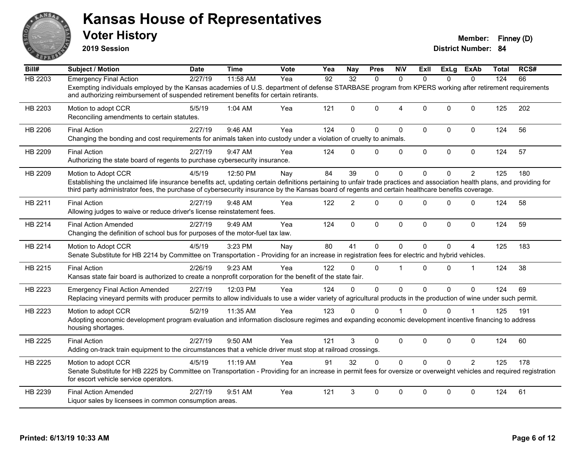

**2019 Session**

| Bill#          | <b>Subject / Motion</b>                                                                                                                                                                                                                                                                                                       | <b>Date</b> | <b>Time</b> | <b>Vote</b> | Yea | <b>Nay</b>      | <b>Pres</b> | <b>NIV</b>     | ExII           | ExLg         | ExAb           | Total | RCS# |
|----------------|-------------------------------------------------------------------------------------------------------------------------------------------------------------------------------------------------------------------------------------------------------------------------------------------------------------------------------|-------------|-------------|-------------|-----|-----------------|-------------|----------------|----------------|--------------|----------------|-------|------|
| <b>HB 2203</b> | <b>Emergency Final Action</b>                                                                                                                                                                                                                                                                                                 | 2/27/19     | 11:58 AM    | Yea         | 92  | $\overline{32}$ | $\Omega$    | $\Omega$       | $\Omega$       | $\Omega$     | $\Omega$       | 124   | 66   |
|                | Exempting individuals employed by the Kansas academies of U.S. department of defense STARBASE program from KPERS working after retirement requirements<br>and authorizing reimbursement of suspended retirement benefits for certain retirants.                                                                               |             |             |             |     |                 |             |                |                |              |                |       |      |
| HB 2203        | Motion to adopt CCR<br>Reconciling amendments to certain statutes.                                                                                                                                                                                                                                                            | 5/5/19      | 1:04 AM     | Yea         | 121 | $\Omega$        | $\Omega$    | $\overline{4}$ | $\Omega$       | $\Omega$     | $\mathbf{0}$   | 125   | 202  |
| HB 2206        | <b>Final Action</b><br>Changing the bonding and cost requirements for animals taken into custody under a violation of cruelty to animals.                                                                                                                                                                                     | 2/27/19     | 9:46 AM     | Yea         | 124 | $\Omega$        | $\Omega$    | $\mathbf{0}$   | $\mathbf{0}$   | $\Omega$     | $\mathbf 0$    | 124   | 56   |
| HB 2209        | <b>Final Action</b><br>Authorizing the state board of regents to purchase cybersecurity insurance.                                                                                                                                                                                                                            | 2/27/19     | 9:47 AM     | Yea         | 124 | $\Omega$        | $\Omega$    | $\mathbf 0$    | $\mathbf 0$    | $\mathbf 0$  | $\mathbf 0$    | 124   | 57   |
| HB 2209        | Motion to Adopt CCR                                                                                                                                                                                                                                                                                                           | 4/5/19      | 12:50 PM    | Nay         | 84  | 39              | 0           | $\mathbf{0}$   | $\mathbf{0}$   | $\Omega$     | $\overline{2}$ | 125   | 180  |
|                | Establishing the unclaimed life insurance benefits act, updating certain definitions pertaining to unfair trade practices and association health plans, and providing for<br>third party administrator fees, the purchase of cybersecurity insurance by the Kansas board of regents and certain healthcare benefits coverage. |             |             |             |     |                 |             |                |                |              |                |       |      |
| HB 2211        | <b>Final Action</b><br>Allowing judges to waive or reduce driver's license reinstatement fees.                                                                                                                                                                                                                                | 2/27/19     | 9:48 AM     | Yea         | 122 | $\overline{2}$  | $\Omega$    | $\mathbf{0}$   | $\Omega$       | $\Omega$     | $\mathbf 0$    | 124   | 58   |
| HB 2214        | <b>Final Action Amended</b><br>Changing the definition of school bus for purposes of the motor-fuel tax law.                                                                                                                                                                                                                  | 2/27/19     | 9:49 AM     | Yea         | 124 | $\mathbf{0}$    | $\mathbf 0$ | $\mathbf 0$    | $\Omega$       | $\mathbf{0}$ | $\mathbf 0$    | 124   | 59   |
| HB 2214        | Motion to Adopt CCR<br>Senate Substitute for HB 2214 by Committee on Transportation - Providing for an increase in registration fees for electric and hybrid vehicles.                                                                                                                                                        | 4/5/19      | 3:23 PM     | Nay         | 80  | 41              | 0           | $\mathbf{0}$   | $\overline{0}$ | 0            | 4              | 125   | 183  |
| HB 2215        | <b>Final Action</b><br>Kansas state fair board is authorized to create a nonprofit corporation for the benefit of the state fair.                                                                                                                                                                                             | 2/26/19     | 9:23 AM     | Yea         | 122 | $\Omega$        | $\Omega$    | $\overline{1}$ | $\Omega$       | $\Omega$     | $\overline{1}$ | 124   | 38   |
| HB 2223        | <b>Emergency Final Action Amended</b><br>Replacing vineyard permits with producer permits to allow individuals to use a wider variety of agricultural products in the production of wine under such permit.                                                                                                                   | 2/27/19     | 12:03 PM    | Yea         | 124 | $\Omega$        | $\mathbf 0$ | $\mathbf 0$    | $\mathbf{0}$   | $\Omega$     | $\mathbf{0}$   | 124   | 69   |
| HB 2223        | Motion to adopt CCR<br>Adopting economic development program evaluation and information disclosure regimes and expanding economic development incentive financing to address<br>housing shortages.                                                                                                                            | 5/2/19      | 11:35 AM    | Yea         | 123 | $\Omega$        | $\Omega$    |                | $\Omega$       | $\Omega$     |                | 125   | 191  |
| HB 2225        | <b>Final Action</b><br>Adding on-track train equipment to the circumstances that a vehicle driver must stop at railroad crossings.                                                                                                                                                                                            | 2/27/19     | 9:50 AM     | Yea         | 121 | 3               | $\Omega$    | $\mathbf 0$    | 0              | $\Omega$     | $\mathbf 0$    | 124   | 60   |
| HB 2225        | Motion to adopt CCR<br>Senate Substitute for HB 2225 by Committee on Transportation - Providing for an increase in permit fees for oversize or overweight vehicles and required registration<br>for escort vehicle service operators.                                                                                         | 4/5/19      | 11:19 AM    | Yea         | 91  | 32              | $\Omega$    | $\Omega$       | $\Omega$       | $\Omega$     | $\overline{2}$ | 125   | 178  |
| HB 2239        | <b>Final Action Amended</b><br>Liquor sales by licensees in common consumption areas.                                                                                                                                                                                                                                         | 2/27/19     | 9:51 AM     | Yea         | 121 | 3               | $\Omega$    | $\mathbf{0}$   | $\Omega$       | $\Omega$     | $\mathbf{0}$   | 124   | 61   |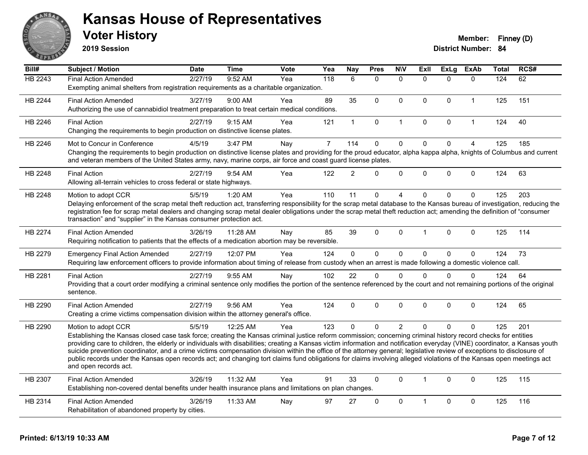

**2019 Session**

| Bill#   | Subject / Motion                                                                                                                                                                                                                           | <b>Date</b> | <b>Time</b> | Vote | Yea            | Nay            | <b>Pres</b>  | <b>NIV</b>     | <b>ExII</b>    | <b>ExLg</b>  | <b>ExAb</b>    | Total | RCS# |
|---------|--------------------------------------------------------------------------------------------------------------------------------------------------------------------------------------------------------------------------------------------|-------------|-------------|------|----------------|----------------|--------------|----------------|----------------|--------------|----------------|-------|------|
| HB 2243 | <b>Final Action Amended</b>                                                                                                                                                                                                                | 2/27/19     | 9:52 AM     | Yea  | 118            | 6              | $\Omega$     | $\Omega$       | $\Omega$       | $\Omega$     | $\Omega$       | 124   | 62   |
|         | Exempting animal shelters from registration requirements as a charitable organization.                                                                                                                                                     |             |             |      |                |                |              |                |                |              |                |       |      |
| HB 2244 | <b>Final Action Amended</b>                                                                                                                                                                                                                | 3/27/19     | $9:00$ AM   | Yea  | 89             | 35             | $\mathbf{0}$ | $\Omega$       | $\mathbf{0}$   | $\mathbf{0}$ | $\mathbf{1}$   | 125   | 151  |
|         | Authorizing the use of cannabidiol treatment preparation to treat certain medical conditions.                                                                                                                                              |             |             |      |                |                |              |                |                |              |                |       |      |
| HB 2246 | <b>Final Action</b>                                                                                                                                                                                                                        | 2/27/19     | 9:15 AM     | Yea  | 121            | $\mathbf{1}$   | 0            | $\mathbf{1}$   | $\mathbf 0$    | $\mathbf 0$  | $\mathbf{1}$   | 124   | 40   |
|         | Changing the requirements to begin production on distinctive license plates.                                                                                                                                                               |             |             |      |                |                |              |                |                |              |                |       |      |
| HB 2246 | Mot to Concur in Conference                                                                                                                                                                                                                | 4/5/19      | 3:47 PM     | Nay  | $\overline{7}$ | 114            | $\mathbf 0$  | $\mathbf 0$    | $\mathbf 0$    | $\mathbf 0$  | $\overline{4}$ | 125   | 185  |
|         | Changing the requirements to begin production on distinctive license plates and providing for the proud educator, alpha kappa alpha, knights of Columbus and current                                                                       |             |             |      |                |                |              |                |                |              |                |       |      |
|         | and veteran members of the United States army, navy, marine corps, air force and coast guard license plates.                                                                                                                               |             |             |      |                |                |              |                |                |              |                |       |      |
| HB 2248 | <b>Final Action</b>                                                                                                                                                                                                                        | 2/27/19     | 9:54 AM     | Yea  | 122            | $\overline{2}$ | $\Omega$     | $\mathbf 0$    | $\Omega$       | $\mathbf{0}$ | $\mathbf{0}$   | 124   | 63   |
|         | Allowing all-terrain vehicles to cross federal or state highways.                                                                                                                                                                          |             |             |      |                |                |              |                |                |              |                |       |      |
| HB 2248 | Motion to adopt CCR                                                                                                                                                                                                                        | 5/5/19      | 1:20 AM     | Yea  | 110            | 11             | 0            | 4              | $\Omega$       | $\mathbf 0$  | 0              | 125   | 203  |
|         | Delaying enforcement of the scrap metal theft reduction act, transferring responsibility for the scrap metal database to the Kansas bureau of investigation, reducing the                                                                  |             |             |      |                |                |              |                |                |              |                |       |      |
|         | registration fee for scrap metal dealers and changing scrap metal dealer obligations under the scrap metal theft reduction act; amending the definition of "consumer<br>transaction" and "supplier" in the Kansas consumer protection act. |             |             |      |                |                |              |                |                |              |                |       |      |
|         |                                                                                                                                                                                                                                            |             |             |      |                |                |              |                |                |              |                |       |      |
| HB 2274 | <b>Final Action Amended</b>                                                                                                                                                                                                                | 3/26/19     | 11:28 AM    | Nay  | 85             | 39             | $\Omega$     | $\mathbf 0$    | $\mathbf 1$    | $\mathbf{0}$ | $\Omega$       | 125   | 114  |
|         | Requiring notification to patients that the effects of a medication abortion may be reversible.                                                                                                                                            |             |             |      |                |                |              |                |                |              |                |       |      |
| HB 2279 | <b>Emergency Final Action Amended</b>                                                                                                                                                                                                      | 2/27/19     | 12:07 PM    | Yea  | 124            | $\mathbf 0$    | $\mathbf 0$  | $\mathsf 0$    | $\Omega$       | $\mathbf 0$  | $\mathbf 0$    | 124   | 73   |
|         | Requiring law enforcement officers to provide information about timing of release from custody when an arrest is made following a domestic violence call.                                                                                  |             |             |      |                |                |              |                |                |              |                |       |      |
| HB 2281 | <b>Final Action</b>                                                                                                                                                                                                                        | 2/27/19     | 9:55 AM     | Nay  | 102            | 22             | 0            | $\Omega$       | $\Omega$       | $\Omega$     | $\Omega$       | 124   | 64   |
|         | Providing that a court order modifying a criminal sentence only modifies the portion of the sentence referenced by the court and not remaining portions of the original                                                                    |             |             |      |                |                |              |                |                |              |                |       |      |
|         | sentence.                                                                                                                                                                                                                                  |             |             |      |                |                |              |                |                |              |                |       |      |
| HB 2290 | <b>Final Action Amended</b>                                                                                                                                                                                                                | 2/27/19     | 9:56 AM     | Yea  | 124            | $\mathbf{0}$   | $\mathbf{0}$ | $\Omega$       | $\Omega$       | $\mathbf{0}$ | $\mathbf{0}$   | 124   | 65   |
|         | Creating a crime victims compensation division within the attorney general's office.                                                                                                                                                       |             |             |      |                |                |              |                |                |              |                |       |      |
| HB 2290 | Motion to adopt CCR                                                                                                                                                                                                                        | 5/5/19      | 12:25 AM    | Yea  | 123            | $\Omega$       | $\Omega$     | $\overline{2}$ | $\Omega$       | $\Omega$     | $\Omega$       | 125   | 201  |
|         | Establishing the Kansas closed case task force; creating the Kansas criminal justice reform commission; concerning criminal history record checks for entities                                                                             |             |             |      |                |                |              |                |                |              |                |       |      |
|         | providing care to children, the elderly or individuals with disabilities; creating a Kansas victim information and notification everyday (VINE) coordinator, a Kansas youth                                                                |             |             |      |                |                |              |                |                |              |                |       |      |
|         | suicide prevention coordinator, and a crime victims compensation division within the office of the attorney general; legislative review of exceptions to disclosure of                                                                     |             |             |      |                |                |              |                |                |              |                |       |      |
|         | public records under the Kansas open records act; and changing tort claims fund obligations for claims involving alleged violations of the Kansas open meetings act<br>and open records act.                                               |             |             |      |                |                |              |                |                |              |                |       |      |
|         |                                                                                                                                                                                                                                            |             |             |      |                |                |              |                |                |              |                |       |      |
| HB 2307 | <b>Final Action Amended</b>                                                                                                                                                                                                                | 3/26/19     | 11:32 AM    | Yea  | 91             | 33             | $\mathbf{0}$ | $\Omega$       | $\mathbf{1}$   | $\mathbf{0}$ | $\Omega$       | 125   | 115  |
|         | Establishing non-covered dental benefits under health insurance plans and limitations on plan changes.                                                                                                                                     |             |             |      |                |                |              |                |                |              |                |       |      |
| HB 2314 | <b>Final Action Amended</b>                                                                                                                                                                                                                | 3/26/19     | 11:33 AM    | Nay  | 97             | 27             | $\Omega$     | $\mathbf 0$    | $\overline{1}$ | $\Omega$     | $\mathbf{0}$   | 125   | 116  |
|         | Rehabilitation of abandoned property by cities.                                                                                                                                                                                            |             |             |      |                |                |              |                |                |              |                |       |      |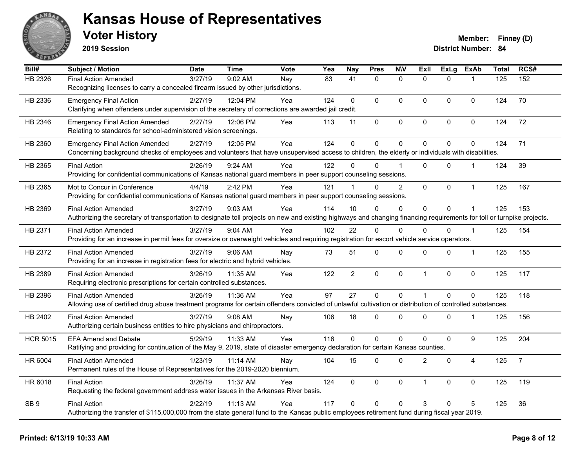

**2019 Session**

| Bill#           | Subject / Motion                                                                                                                                                       | <b>Date</b> | <b>Time</b> | <b>Vote</b> | Yea | <b>Nay</b>      | <b>Pres</b>    | <b>NIV</b>     | <b>Exll</b>    | <b>ExLg</b>    | <b>ExAb</b>    | <b>Total</b> | RCS#           |
|-----------------|------------------------------------------------------------------------------------------------------------------------------------------------------------------------|-------------|-------------|-------------|-----|-----------------|----------------|----------------|----------------|----------------|----------------|--------------|----------------|
| HB 2326         | <b>Final Action Amended</b>                                                                                                                                            | 3/27/19     | 9:02 AM     | Nay         | 83  | $\overline{41}$ | $\mathbf{0}$   | $\mathbf{0}$   | $\Omega$       | $\Omega$       | $\mathbf{1}$   | 125          | 152            |
|                 | Recognizing licenses to carry a concealed firearm issued by other jurisdictions.                                                                                       |             |             |             |     |                 |                |                |                |                |                |              |                |
| HB 2336         | <b>Emergency Final Action</b>                                                                                                                                          | 2/27/19     | 12:04 PM    | Yea         | 124 | $\Omega$        | $\Omega$       | $\mathbf{0}$   | $\overline{0}$ | $\Omega$       | $\mathbf 0$    | 124          | 70             |
|                 | Clarifying when offenders under supervision of the secretary of corrections are awarded jail credit.                                                                   |             |             |             |     |                 |                |                |                |                |                |              |                |
| HB 2346         | <b>Emergency Final Action Amended</b>                                                                                                                                  | 2/27/19     | 12:06 PM    | Yea         | 113 | 11              | 0              | $\pmb{0}$      | 0              | 0              | $\mathbf 0$    | 124          | 72             |
|                 | Relating to standards for school-administered vision screenings.                                                                                                       |             |             |             |     |                 |                |                |                |                |                |              |                |
| HB 2360         | <b>Emergency Final Action Amended</b>                                                                                                                                  | 2/27/19     | 12:05 PM    | Yea         | 124 | $\mathbf 0$     | $\mathbf 0$    | $\mathbf 0$    | 0              | 0              | $\pmb{0}$      | 124          | 71             |
|                 | Concerning background checks of employees and volunteers that have unsupervised access to children, the elderly or individuals with disabilities.                      |             |             |             |     |                 |                |                |                |                |                |              |                |
| HB 2365         | <b>Final Action</b>                                                                                                                                                    | 2/26/19     | 9:24 AM     | Yea         | 122 | 0               | $\Omega$       |                | 0              | $\Omega$       | 1              | 124          | 39             |
|                 | Providing for confidential communications of Kansas national guard members in peer support counseling sessions.                                                        |             |             |             |     |                 |                |                |                |                |                |              |                |
| HB 2365         | Mot to Concur in Conference                                                                                                                                            | 4/4/19      | 2:42 PM     | Yea         | 121 |                 | $\Omega$       | $\overline{2}$ | $\overline{0}$ | $\Omega$       | $\mathbf{1}$   | 125          | 167            |
|                 | Providing for confidential communications of Kansas national guard members in peer support counseling sessions.                                                        |             |             |             |     |                 |                |                |                |                |                |              |                |
| HB 2369         | <b>Final Action Amended</b>                                                                                                                                            | 3/27/19     | 9:03 AM     | Yea         | 114 | 10              | $\Omega$       | $\Omega$       | $\overline{0}$ | $\Omega$       |                | 125          | 153            |
|                 | Authorizing the secretary of transportation to designate toll projects on new and existing highways and changing financing requirements for toll or turnpike projects. |             |             |             |     |                 |                |                |                |                |                |              |                |
| HB 2371         | <b>Final Action Amended</b>                                                                                                                                            | 3/27/19     | 9:04 AM     | Yea         | 102 | 22              | $\Omega$       | $\mathbf{0}$   | $\Omega$       | $\Omega$       | $\mathbf 1$    | 125          | 154            |
|                 | Providing for an increase in permit fees for oversize or overweight vehicles and requiring registration for escort vehicle service operators.                          |             |             |             |     |                 |                |                |                |                |                |              |                |
| HB 2372         | <b>Final Action Amended</b>                                                                                                                                            | 3/27/19     | $9:06$ AM   | Nay         | 73  | 51              | 0              | $\mathbf 0$    | $\Omega$       | 0              | $\mathbf 1$    | 125          | 155            |
|                 | Providing for an increase in registration fees for electric and hybrid vehicles.                                                                                       |             |             |             |     |                 |                |                |                |                |                |              |                |
| HB 2389         | <b>Final Action Amended</b>                                                                                                                                            | 3/26/19     | 11:35 AM    | Yea         | 122 | $\overline{2}$  | 0              | $\mathbf 0$    | $\mathbf{1}$   | 0              | $\mathbf 0$    | 125          | 117            |
|                 | Requiring electronic prescriptions for certain controlled substances.                                                                                                  |             |             |             |     |                 |                |                |                |                |                |              |                |
| HB 2396         | <b>Final Action Amended</b>                                                                                                                                            | 3/26/19     | 11:36 AM    | Yea         | 97  | 27              | $\overline{0}$ | $\mathbf 0$    | $\mathbf{1}$   | $\overline{0}$ | $\mathbf 0$    | 125          | 118            |
|                 | Allowing use of certified drug abuse treatment programs for certain offenders convicted of unlawful cultivation or distribution of controlled substances.              |             |             |             |     |                 |                |                |                |                |                |              |                |
| HB 2402         | <b>Final Action Amended</b>                                                                                                                                            | 3/27/19     | $9:08$ AM   | Nay         | 106 | 18              | 0              | $\mathbf 0$    | $\Omega$       | $\Omega$       | $\mathbf 1$    | 125          | 156            |
|                 | Authorizing certain business entities to hire physicians and chiropractors.                                                                                            |             |             |             |     |                 |                |                |                |                |                |              |                |
| <b>HCR 5015</b> | <b>EFA Amend and Debate</b>                                                                                                                                            | 5/29/19     | 11:33 AM    | Yea         | 116 | $\Omega$        | $\mathbf 0$    | $\mathbf 0$    | 0              | 0              | 9              | 125          | 204            |
|                 | Ratifying and providing for continuation of the May 9, 2019, state of disaster emergency declaration for certain Kansas counties.                                      |             |             |             |     |                 |                |                |                |                |                |              |                |
| HR 6004         | <b>Final Action Amended</b>                                                                                                                                            | 1/23/19     | 11:14 AM    | Nay         | 104 | 15              | $\mathbf 0$    | $\mathbf{0}$   | $\overline{c}$ | $\mathbf 0$    | $\overline{4}$ | 125          | $\overline{7}$ |
|                 | Permanent rules of the House of Representatives for the 2019-2020 biennium.                                                                                            |             |             |             |     |                 |                |                |                |                |                |              |                |
| HR 6018         | <b>Final Action</b>                                                                                                                                                    | 3/26/19     | 11:37 AM    | Yea         | 124 | 0               | $\Omega$       | $\mathbf 0$    | $\mathbf{1}$   | 0              | $\mathbf 0$    | 125          | 119            |
|                 | Requesting the federal government address water issues in the Arkansas River basis.                                                                                    |             |             |             |     |                 |                |                |                |                |                |              |                |
| SB <sub>9</sub> | <b>Final Action</b>                                                                                                                                                    | 2/22/19     | 11:13 AM    | Yea         | 117 | $\Omega$        | $\Omega$       | $\mathbf{0}$   | 3              | $\Omega$       | 5              | 125          | 36             |
|                 | Authorizing the transfer of \$115,000,000 from the state general fund to the Kansas public employees retirement fund during fiscal year 2019.                          |             |             |             |     |                 |                |                |                |                |                |              |                |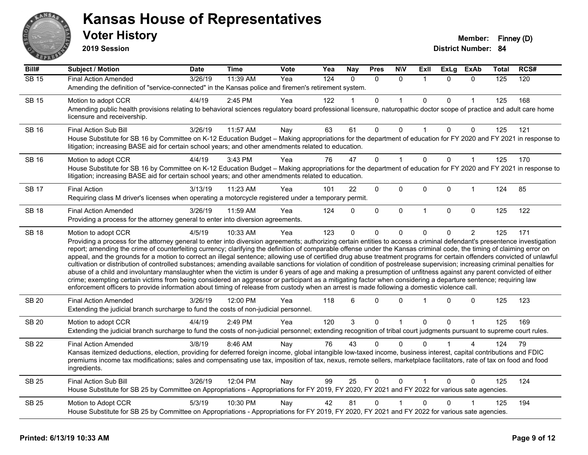

**2019 Session**

| Bill#        | <b>Subject / Motion</b>                                                                                                                                                                                                                                                                                                                                                                                                                                                                                                                                                                                                                                                                                                                                                                                                                                                                                                                                                                                                                                                                                                                                                                              | Date    | <b>Time</b> | Vote | Yea | <b>Nay</b> | <b>Pres</b>  | <b>N\V</b>   | Exll           | ExLg         | <b>ExAb</b>    | Total | RCS# |
|--------------|------------------------------------------------------------------------------------------------------------------------------------------------------------------------------------------------------------------------------------------------------------------------------------------------------------------------------------------------------------------------------------------------------------------------------------------------------------------------------------------------------------------------------------------------------------------------------------------------------------------------------------------------------------------------------------------------------------------------------------------------------------------------------------------------------------------------------------------------------------------------------------------------------------------------------------------------------------------------------------------------------------------------------------------------------------------------------------------------------------------------------------------------------------------------------------------------------|---------|-------------|------|-----|------------|--------------|--------------|----------------|--------------|----------------|-------|------|
| $SB$ 15      | <b>Final Action Amended</b>                                                                                                                                                                                                                                                                                                                                                                                                                                                                                                                                                                                                                                                                                                                                                                                                                                                                                                                                                                                                                                                                                                                                                                          | 3/26/19 | 11:39 AM    | Yea  | 124 | $\Omega$   | $\Omega$     | $\Omega$     | $\overline{1}$ | $\Omega$     | $\Omega$       | 125   | 120  |
|              | Amending the definition of "service-connected" in the Kansas police and firemen's retirement system.                                                                                                                                                                                                                                                                                                                                                                                                                                                                                                                                                                                                                                                                                                                                                                                                                                                                                                                                                                                                                                                                                                 |         |             |      |     |            |              |              |                |              |                |       |      |
| <b>SB 15</b> | Motion to adopt CCR                                                                                                                                                                                                                                                                                                                                                                                                                                                                                                                                                                                                                                                                                                                                                                                                                                                                                                                                                                                                                                                                                                                                                                                  | 4/4/19  | 2:45 PM     | Yea  | 122 |            | $\mathbf{0}$ |              | $\Omega$       | $\mathbf{0}$ |                | 125   | 168  |
|              | Amending public health provisions relating to behavioral sciences regulatory board professional licensure, naturopathic doctor scope of practice and adult care home<br>licensure and receivership.                                                                                                                                                                                                                                                                                                                                                                                                                                                                                                                                                                                                                                                                                                                                                                                                                                                                                                                                                                                                  |         |             |      |     |            |              |              |                |              |                |       |      |
| <b>SB 16</b> | <b>Final Action Sub Bill</b>                                                                                                                                                                                                                                                                                                                                                                                                                                                                                                                                                                                                                                                                                                                                                                                                                                                                                                                                                                                                                                                                                                                                                                         | 3/26/19 | 11:57 AM    | Nay  | 63  | 61         | 0            | 0            |                | 0            | 0              | 125   | 121  |
|              | House Substitute for SB 16 by Committee on K-12 Education Budget - Making appropriations for the department of education for FY 2020 and FY 2021 in response to<br>litigation; increasing BASE aid for certain school years; and other amendments related to education.                                                                                                                                                                                                                                                                                                                                                                                                                                                                                                                                                                                                                                                                                                                                                                                                                                                                                                                              |         |             |      |     |            |              |              |                |              |                |       |      |
| <b>SB 16</b> | Motion to adopt CCR                                                                                                                                                                                                                                                                                                                                                                                                                                                                                                                                                                                                                                                                                                                                                                                                                                                                                                                                                                                                                                                                                                                                                                                  | 4/4/19  | 3:43 PM     | Yea  | 76  | 47         | $\Omega$     | 1            | $\Omega$       | $\mathbf{0}$ |                | 125   | 170  |
|              | House Substitute for SB 16 by Committee on K-12 Education Budget - Making appropriations for the department of education for FY 2020 and FY 2021 in response to<br>litigation; increasing BASE aid for certain school years; and other amendments related to education.                                                                                                                                                                                                                                                                                                                                                                                                                                                                                                                                                                                                                                                                                                                                                                                                                                                                                                                              |         |             |      |     |            |              |              |                |              |                |       |      |
| <b>SB 17</b> | <b>Final Action</b>                                                                                                                                                                                                                                                                                                                                                                                                                                                                                                                                                                                                                                                                                                                                                                                                                                                                                                                                                                                                                                                                                                                                                                                  | 3/13/19 | 11:23 AM    | Yea  | 101 | 22         | 0            | 0            | $\mathbf 0$    | 0            | $\mathbf 1$    | 124   | 85   |
|              | Requiring class M driver's licenses when operating a motorcycle registered under a temporary permit.                                                                                                                                                                                                                                                                                                                                                                                                                                                                                                                                                                                                                                                                                                                                                                                                                                                                                                                                                                                                                                                                                                 |         |             |      |     |            |              |              |                |              |                |       |      |
| <b>SB 18</b> | <b>Final Action Amended</b>                                                                                                                                                                                                                                                                                                                                                                                                                                                                                                                                                                                                                                                                                                                                                                                                                                                                                                                                                                                                                                                                                                                                                                          | 3/26/19 | 11:59 AM    | Yea  | 124 | $\Omega$   | $\mathbf 0$  | $\mathbf 0$  | $\overline{1}$ | $\mathbf{0}$ | $\mathbf 0$    | 125   | 122  |
|              | Providing a process for the attorney general to enter into diversion agreements.                                                                                                                                                                                                                                                                                                                                                                                                                                                                                                                                                                                                                                                                                                                                                                                                                                                                                                                                                                                                                                                                                                                     |         |             |      |     |            |              |              |                |              |                |       |      |
| <b>SB 18</b> | Motion to adopt CCR                                                                                                                                                                                                                                                                                                                                                                                                                                                                                                                                                                                                                                                                                                                                                                                                                                                                                                                                                                                                                                                                                                                                                                                  | 4/5/19  | 10:33 AM    | Yea  | 123 | 0          | $\mathbf{0}$ | 0            | 0              | 0            | $\overline{2}$ | 125   | 171  |
|              | Providing a process for the attorney general to enter into diversion agreements; authorizing certain entities to access a criminal defendant's presentence investigation<br>report; amending the crime of counterfeiting currency; clarifying the definition of comparable offense under the Kansas criminal code, the timing of claiming error on<br>appeal, and the grounds for a motion to correct an illegal sentence; allowing use of certified drug abuse treatment programs for certain offenders convicted of unlawful<br>cultivation or distribution of controlled substances; amending available sanctions for violation of condition of postrelease supervision; increasing criminal penalties for<br>abuse of a child and involuntary manslaughter when the victim is under 6 years of age and making a presumption of unfitness against any parent convicted of either<br>crime; exempting certain victims from being considered an aggressor or participant as a mitigating factor when considering a departure sentence; requiring law<br>enforcement officers to provide information about timing of release from custody when an arrest is made following a domestic violence call. |         |             |      |     |            |              |              |                |              |                |       |      |
| <b>SB 20</b> | <b>Final Action Amended</b><br>Extending the judicial branch surcharge to fund the costs of non-judicial personnel.                                                                                                                                                                                                                                                                                                                                                                                                                                                                                                                                                                                                                                                                                                                                                                                                                                                                                                                                                                                                                                                                                  | 3/26/19 | 12:00 PM    | Yea  | 118 | 6          | $\Omega$     | $\Omega$     | $\overline{1}$ | $\Omega$     | 0              | 125   | 123  |
| <b>SB 20</b> | Motion to adopt CCR                                                                                                                                                                                                                                                                                                                                                                                                                                                                                                                                                                                                                                                                                                                                                                                                                                                                                                                                                                                                                                                                                                                                                                                  | 4/4/19  | 2:49 PM     | Yea  | 120 | 3          | 0            | $\mathbf{1}$ | $\Omega$       | $\Omega$     | $\mathbf{1}$   | 125   | 169  |
|              | Extending the judicial branch surcharge to fund the costs of non-judicial personnel; extending recognition of tribal court judgments pursuant to supreme court rules.                                                                                                                                                                                                                                                                                                                                                                                                                                                                                                                                                                                                                                                                                                                                                                                                                                                                                                                                                                                                                                |         |             |      |     |            |              |              |                |              |                |       |      |
| <b>SB 22</b> | <b>Final Action Amended</b>                                                                                                                                                                                                                                                                                                                                                                                                                                                                                                                                                                                                                                                                                                                                                                                                                                                                                                                                                                                                                                                                                                                                                                          | 3/8/19  | 8:46 AM     | Nay  | 76  | 43         | $\Omega$     | $\Omega$     | <sup>0</sup>   |              | 4              | 124   | 79   |
|              | Kansas itemized deductions, election, providing for deferred foreign income, global intangible low-taxed income, business interest, capital contributions and FDIC<br>premiums income tax modifications; sales and compensating use tax, imposition of tax, nexus, remote sellers, marketplace facilitators, rate of tax on food and food<br>ingredients.                                                                                                                                                                                                                                                                                                                                                                                                                                                                                                                                                                                                                                                                                                                                                                                                                                            |         |             |      |     |            |              |              |                |              |                |       |      |
| <b>SB 25</b> | <b>Final Action Sub Bill</b>                                                                                                                                                                                                                                                                                                                                                                                                                                                                                                                                                                                                                                                                                                                                                                                                                                                                                                                                                                                                                                                                                                                                                                         | 3/26/19 | 12:04 PM    | Nay  | 99  | 25         | $\mathbf{0}$ | $\mathbf{0}$ |                | $\Omega$     | $\Omega$       | 125   | 124  |
|              | House Substitute for SB 25 by Committee on Appropriations - Appropriations for FY 2019, FY 2020, FY 2021 and FY 2022 for various sate agencies.                                                                                                                                                                                                                                                                                                                                                                                                                                                                                                                                                                                                                                                                                                                                                                                                                                                                                                                                                                                                                                                      |         |             |      |     |            |              |              |                |              |                |       |      |
| <b>SB 25</b> | Motion to Adopt CCR                                                                                                                                                                                                                                                                                                                                                                                                                                                                                                                                                                                                                                                                                                                                                                                                                                                                                                                                                                                                                                                                                                                                                                                  | 5/3/19  | 10:30 PM    | Nay  | 42  | 81         | 0            |              | $\Omega$       | 0            |                | 125   | 194  |
|              | House Substitute for SB 25 by Committee on Appropriations - Appropriations for FY 2019, FY 2020, FY 2021 and FY 2022 for various sate agencies.                                                                                                                                                                                                                                                                                                                                                                                                                                                                                                                                                                                                                                                                                                                                                                                                                                                                                                                                                                                                                                                      |         |             |      |     |            |              |              |                |              |                |       |      |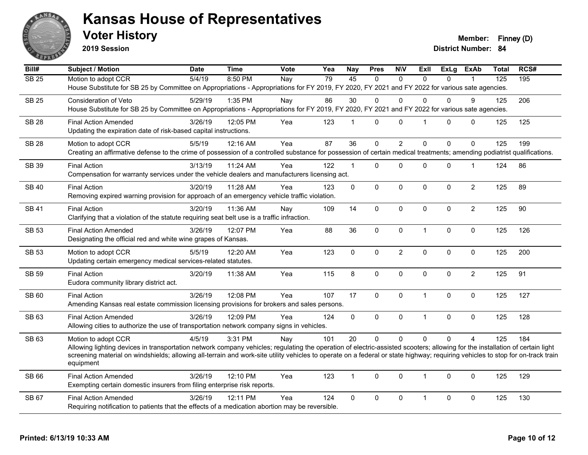

**2019 Session**

**Voter History Member: Finney (D)** 

| Bill#            | Subject / Motion                                                                                                                                                                                                                                                                                                                                               | <b>Date</b> | <b>Time</b> | Vote | Yea | <b>Nay</b>   | <b>Pres</b>  | <b>NIV</b>     | <b>ExII</b>          | <b>ExLg</b>  | <b>ExAb</b>    | Total | RCS# |
|------------------|----------------------------------------------------------------------------------------------------------------------------------------------------------------------------------------------------------------------------------------------------------------------------------------------------------------------------------------------------------------|-------------|-------------|------|-----|--------------|--------------|----------------|----------------------|--------------|----------------|-------|------|
| SB <sub>25</sub> | Motion to adopt CCR                                                                                                                                                                                                                                                                                                                                            | 5/4/19      | 8:50 PM     | Nay  | 79  | 45           | $\mathbf{0}$ | $\mathbf{0}$   | $\Omega$             | $\Omega$     |                | 125   | 195  |
|                  | House Substitute for SB 25 by Committee on Appropriations - Appropriations for FY 2019, FY 2020, FY 2021 and FY 2022 for various sate agencies.                                                                                                                                                                                                                |             |             |      |     |              |              |                |                      |              |                |       |      |
| <b>SB 25</b>     | Consideration of Veto                                                                                                                                                                                                                                                                                                                                          | 5/29/19     | 1:35 PM     | Nay  | 86  | 30           | 0            | $\Omega$       | $\mathbf{0}$         | $\mathbf{0}$ | 9              | 125   | 206  |
|                  | House Substitute for SB 25 by Committee on Appropriations - Appropriations for FY 2019, FY 2020, FY 2021 and FY 2022 for various sate agencies.                                                                                                                                                                                                                |             |             |      |     |              |              |                |                      |              |                |       |      |
| <b>SB 28</b>     | <b>Final Action Amended</b>                                                                                                                                                                                                                                                                                                                                    | 3/26/19     | 12:05 PM    | Yea  | 123 | $\mathbf{1}$ | 0            | $\mathbf{0}$   | $\blacktriangleleft$ | $\mathbf{0}$ | 0              | 125   | 125  |
|                  | Updating the expiration date of risk-based capital instructions.                                                                                                                                                                                                                                                                                               |             |             |      |     |              |              |                |                      |              |                |       |      |
| <b>SB 28</b>     | Motion to adopt CCR                                                                                                                                                                                                                                                                                                                                            | 5/5/19      | 12:16 AM    | Yea  | 87  | 36           | $\Omega$     | $\overline{2}$ | $\Omega$             | $\Omega$     | $\Omega$       | 125   | 199  |
|                  | Creating an affirmative defense to the crime of possession of a controlled substance for possession of certain medical treatments; amending podiatrist qualifications.                                                                                                                                                                                         |             |             |      |     |              |              |                |                      |              |                |       |      |
| SB 39            | <b>Final Action</b>                                                                                                                                                                                                                                                                                                                                            | 3/13/19     | 11:24 AM    | Yea  | 122 | $\mathbf{1}$ | 0            | $\mathbf 0$    | $\Omega$             | 0            | 1              | 124   | 86   |
|                  | Compensation for warranty services under the vehicle dealers and manufacturers licensing act.                                                                                                                                                                                                                                                                  |             |             |      |     |              |              |                |                      |              |                |       |      |
|                  |                                                                                                                                                                                                                                                                                                                                                                |             |             |      |     |              |              |                |                      |              |                |       |      |
| <b>SB 40</b>     | <b>Final Action</b><br>Removing expired warning provision for approach of an emergency vehicle traffic violation.                                                                                                                                                                                                                                              | 3/20/19     | 11:28 AM    | Yea  | 123 | 0            | 0            | $\mathbf 0$    | 0                    | 0            | $\overline{c}$ | 125   | 89   |
|                  |                                                                                                                                                                                                                                                                                                                                                                |             |             |      |     |              |              |                |                      |              |                |       |      |
| <b>SB 41</b>     | <b>Final Action</b>                                                                                                                                                                                                                                                                                                                                            | 3/20/19     | 11:36 AM    | Nay  | 109 | 14           | $\mathbf{0}$ | $\mathbf 0$    | $\Omega$             | $\Omega$     | $\overline{c}$ | 125   | 90   |
|                  | Clarifying that a violation of the statute requiring seat belt use is a traffic infraction.                                                                                                                                                                                                                                                                    |             |             |      |     |              |              |                |                      |              |                |       |      |
| <b>SB 53</b>     | <b>Final Action Amended</b>                                                                                                                                                                                                                                                                                                                                    | 3/26/19     | 12:07 PM    | Yea  | 88  | 36           | 0            | $\pmb{0}$      | $\mathbf{1}$         | 0            | $\mathbf 0$    | 125   | 126  |
|                  | Designating the official red and white wine grapes of Kansas.                                                                                                                                                                                                                                                                                                  |             |             |      |     |              |              |                |                      |              |                |       |      |
| <b>SB 53</b>     | Motion to adopt CCR                                                                                                                                                                                                                                                                                                                                            | 5/5/19      | 12:20 AM    | Yea  | 123 | 0            | $\mathbf 0$  | $\overline{c}$ | $\mathbf 0$          | 0            | 0              | 125   | 200  |
|                  | Updating certain emergency medical services-related statutes.                                                                                                                                                                                                                                                                                                  |             |             |      |     |              |              |                |                      |              |                |       |      |
| <b>SB 59</b>     | <b>Final Action</b>                                                                                                                                                                                                                                                                                                                                            | 3/20/19     | 11:38 AM    | Yea  | 115 | 8            | $\mathbf{0}$ | $\mathbf{0}$   | $\Omega$             | $\Omega$     | $\overline{2}$ | 125   | 91   |
|                  | Eudora community library district act.                                                                                                                                                                                                                                                                                                                         |             |             |      |     |              |              |                |                      |              |                |       |      |
| SB 60            | <b>Final Action</b>                                                                                                                                                                                                                                                                                                                                            | 3/26/19     | 12:08 PM    | Yea  | 107 | 17           | 0            | $\mathbf 0$    | $\mathbf{1}$         | 0            | $\pmb{0}$      | 125   | 127  |
|                  | Amending Kansas real estate commission licensing provisions for brokers and sales persons.                                                                                                                                                                                                                                                                     |             |             |      |     |              |              |                |                      |              |                |       |      |
|                  |                                                                                                                                                                                                                                                                                                                                                                |             |             |      |     |              |              |                |                      |              |                |       |      |
| SB 63            | <b>Final Action Amended</b><br>Allowing cities to authorize the use of transportation network company signs in vehicles.                                                                                                                                                                                                                                       | 3/26/19     | 12:09 PM    | Yea  | 124 | 0            | $\mathbf 0$  | $\pmb{0}$      | $\mathbf{1}$         | 0            | $\pmb{0}$      | 125   | 128  |
|                  |                                                                                                                                                                                                                                                                                                                                                                |             |             |      |     |              |              |                |                      |              |                |       |      |
| SB 63            | Motion to adopt CCR                                                                                                                                                                                                                                                                                                                                            | 4/5/19      | 3:31 PM     | Nay  | 101 | 20           | $\Omega$     | $\Omega$       | $\Omega$             | $\Omega$     | $\overline{A}$ | 125   | 184  |
|                  | Allowing lighting devices in transportation network company vehicles; regulating the operation of electric-assisted scooters; allowing for the installation of certain light<br>screening material on windshields; allowing all-terrain and work-site utility vehicles to operate on a federal or state highway; requiring vehicles to stop for on-track train |             |             |      |     |              |              |                |                      |              |                |       |      |
|                  | equipment                                                                                                                                                                                                                                                                                                                                                      |             |             |      |     |              |              |                |                      |              |                |       |      |
|                  |                                                                                                                                                                                                                                                                                                                                                                | 3/26/19     | 12:10 PM    | Yea  |     | $\mathbf{1}$ | $\Omega$     | $\mathbf{0}$   | $\mathbf{1}$         | $\Omega$     | $\Omega$       |       |      |
| SB 66            | <b>Final Action Amended</b><br>Exempting certain domestic insurers from filing enterprise risk reports.                                                                                                                                                                                                                                                        |             |             |      | 123 |              |              |                |                      |              |                | 125   | 129  |
|                  |                                                                                                                                                                                                                                                                                                                                                                |             |             |      |     |              |              |                |                      |              |                |       |      |
| SB 67            | <b>Final Action Amended</b>                                                                                                                                                                                                                                                                                                                                    | 3/26/19     | 12:11 PM    | Yea  | 124 | 0            | 0            | $\pmb{0}$      | 1                    | 0            | 0              | 125   | 130  |
|                  | Requiring notification to patients that the effects of a medication abortion may be reversible.                                                                                                                                                                                                                                                                |             |             |      |     |              |              |                |                      |              |                |       |      |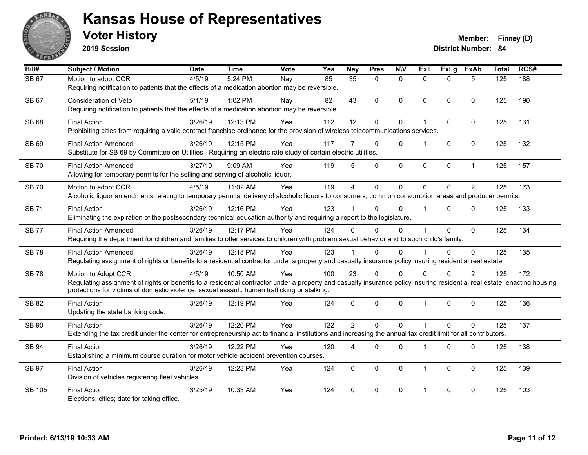

**2019 Session**

| Bill#        | <b>Subject / Motion</b>                                                                                                                                                   | <b>Date</b> | <b>Time</b> | Vote | Yea | <b>Nay</b>     | <b>Pres</b>  | <b>N\V</b>   | <b>Exll</b> | <b>ExLg</b> | <b>ExAb</b>    | <b>Total</b>     | RCS# |
|--------------|---------------------------------------------------------------------------------------------------------------------------------------------------------------------------|-------------|-------------|------|-----|----------------|--------------|--------------|-------------|-------------|----------------|------------------|------|
| <b>SB 67</b> | Motion to adopt CCR                                                                                                                                                       | 4/5/19      | 5:24 PM     | Nay  | 85  | 35             | $\Omega$     | $\mathbf{0}$ | $\Omega$    | $\Omega$    | 5              | $\overline{125}$ | 188  |
|              | Requiring notification to patients that the effects of a medication abortion may be reversible.                                                                           |             |             |      |     |                |              |              |             |             |                |                  |      |
| <b>SB 67</b> | <b>Consideration of Veto</b>                                                                                                                                              | 5/1/19      | 1:02 PM     | Nay  | 82  | 43             | 0            | $\mathbf{0}$ | $\Omega$    | $\Omega$    | $\mathbf{0}$   | 125              | 190  |
|              | Requiring notification to patients that the effects of a medication abortion may be reversible.                                                                           |             |             |      |     |                |              |              |             |             |                |                  |      |
| SB 68        | <b>Final Action</b>                                                                                                                                                       | 3/26/19     | 12:13 PM    | Yea  | 112 | 12             | 0            | $\pmb{0}$    |             | 0           | $\mathbf 0$    | 125              | 131  |
|              | Prohibiting cities from requiring a valid contract franchise ordinance for the provision of wireless telecommunications services.                                         |             |             |      |     |                |              |              |             |             |                |                  |      |
| SB 69        | <b>Final Action Amended</b>                                                                                                                                               | 3/26/19     | 12:15 PM    | Yea  | 117 |                | $\Omega$     | $\Omega$     |             | $\Omega$    | $\Omega$       | 125              | 132  |
|              | Substitute for SB 69 by Committee on Utilities - Requiring an electric rate study of certain electric utilities.                                                          |             |             |      |     |                |              |              |             |             |                |                  |      |
| <b>SB 70</b> | <b>Final Action Amended</b>                                                                                                                                               | 3/27/19     | 9:09 AM     | Yea  | 119 | 5              | $\Omega$     | $\mathbf 0$  | $\mathbf 0$ | 0           | $\mathbf{1}$   | 125              | 157  |
|              | Allowing for temporary permits for the selling and serving of alcoholic liquor.                                                                                           |             |             |      |     |                |              |              |             |             |                |                  |      |
| <b>SB 70</b> | Motion to adopt CCR                                                                                                                                                       | 4/5/19      | 11:02 AM    | Yea  | 119 | $\overline{4}$ | 0            | $\mathbf 0$  | $\Omega$    | $\Omega$    | 2              | 125              | 173  |
|              | Alcoholic liquor amendments relating to temporary permits, delivery of alcoholic liquors to consumers, common consumption areas and producer permits.                     |             |             |      |     |                |              |              |             |             |                |                  |      |
| <b>SB 71</b> | <b>Final Action</b>                                                                                                                                                       | 3/26/19     | 12:16 PM    | Yea  | 123 |                | $\Omega$     | $\Omega$     |             | $\Omega$    | $\mathbf{0}$   | 125              | 133  |
|              | Eliminating the expiration of the postsecondary technical education authority and requiring a report to the legislature.                                                  |             |             |      |     |                |              |              |             |             |                |                  |      |
| <b>SB 77</b> | <b>Final Action Amended</b>                                                                                                                                               | 3/26/19     | 12:17 PM    | Yea  | 124 | $\Omega$       | $\Omega$     | 0            |             | $\Omega$    | $\mathbf{0}$   | 125              | 134  |
|              | Requiring the department for children and families to offer services to children with problem sexual behavior and to such child's family.                                 |             |             |      |     |                |              |              |             |             |                |                  |      |
| <b>SB78</b>  | <b>Final Action Amended</b>                                                                                                                                               | 3/26/19     | 12:18 PM    | Yea  | 123 |                | 0            | $\Omega$     |             | $\Omega$    | $\mathbf 0$    | 125              | 135  |
|              | Regulating assignment of rights or benefits to a residential contractor under a property and casualty insurance policy insuring residential real estate.                  |             |             |      |     |                |              |              |             |             |                |                  |      |
| <b>SB78</b>  | Motion to Adopt CCR                                                                                                                                                       | 4/5/19      | 10:50 AM    | Yea  | 100 | 23             | $\Omega$     | $\Omega$     | $\Omega$    | $\Omega$    | $\overline{2}$ | 125              | 172  |
|              | Regulating assignment of rights or benefits to a residential contractor under a property and casualty insurance policy insuring residential real estate; enacting housing |             |             |      |     |                |              |              |             |             |                |                  |      |
|              | protections for victims of domestic violence, sexual assault, human trafficking or stalking.                                                                              |             |             |      |     |                |              |              |             |             |                |                  |      |
| SB 82        | <b>Final Action</b>                                                                                                                                                       | 3/26/19     | 12:19 PM    | Yea  | 124 | $\Omega$       | 0            | $\mathbf 0$  | 1           | $\Omega$    | $\mathbf 0$    | 125              | 136  |
|              | Updating the state banking code.                                                                                                                                          |             |             |      |     |                |              |              |             |             |                |                  |      |
| SB 90        | <b>Final Action</b>                                                                                                                                                       | 3/26/19     | 12:20 PM    | Yea  | 122 | $\overline{2}$ | $\mathbf{0}$ | $\mathbf 0$  |             | $\Omega$    | $\mathbf 0$    | 125              | 137  |
|              | Extending the tax credit under the center for entrepreneurship act to financial institutions and increasing the annual tax credit limit for all contributors.             |             |             |      |     |                |              |              |             |             |                |                  |      |
| <b>SB 94</b> | <b>Final Action</b>                                                                                                                                                       | 3/26/19     | 12:22 PM    | Yea  | 120 | 4              | $\mathbf{0}$ | 0            |             | $\Omega$    | $\mathbf 0$    | 125              | 138  |
|              | Establishing a minimum course duration for motor vehicle accident prevention courses.                                                                                     |             |             |      |     |                |              |              |             |             |                |                  |      |
| <b>SB 97</b> | <b>Final Action</b>                                                                                                                                                       | 3/26/19     | 12:23 PM    | Yea  | 124 | $\mathbf{0}$   | $\Omega$     | $\mathbf{0}$ | $\mathbf 1$ | $\Omega$    | $\mathbf{0}$   | 125              | 139  |
|              | Division of vehicles registering fleet vehicles.                                                                                                                          |             |             |      |     |                |              |              |             |             |                |                  |      |
| SB 105       | <b>Final Action</b>                                                                                                                                                       | 3/25/19     | 10:33 AM    | Yea  | 124 | $\Omega$       | $\Omega$     | $\mathbf{0}$ | 1           | $\Omega$    | $\mathbf{0}$   | 125              | 103  |
|              | Elections; cities; date for taking office.                                                                                                                                |             |             |      |     |                |              |              |             |             |                |                  |      |